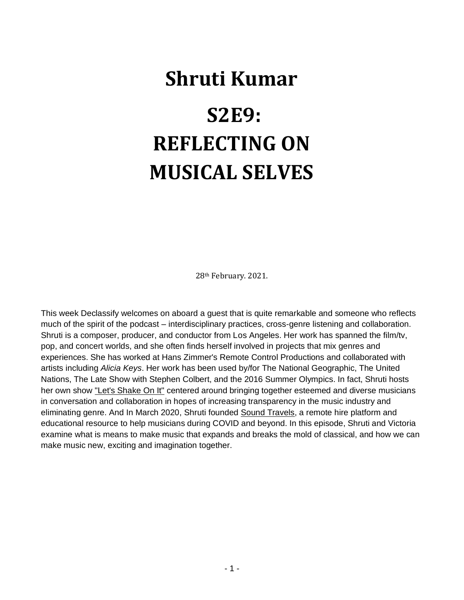# **Shruti Kumar S2E9: REFLECTING ON MUSICAL SELVES**

28th February. 2021.

This week Declassify welcomes on aboard a guest that is quite remarkable and someone who reflects much of the spirit of the podcast – interdisciplinary practices, cross-genre listening and collaboration. Shruti is a composer, producer, and conductor from Los Angeles. Her work has spanned the film/tv, pop, and concert worlds, and she often finds herself involved in projects that mix genres and experiences. She has worked at Hans Zimmer's Remote Control Productions and collaborated with artists including *Alicia Keys*. Her work has been used by/for The National Geographic, The United Nations, The Late Show with Stephen Colbert, and the 2016 Summer Olympics. In fact, Shruti hosts her own show ["Let's Shake On It"](https://www.dublab.com/shows/lets-shake-on-it) centered around bringing together esteemed and diverse musicians in conversation and collaboration in hopes of increasing transparency in the music industry and eliminating genre. And In March 2020, Shruti founded [Sound Travels,](https://soundcantravel.com/) a remote hire platform and educational resource to help musicians during COVID and beyond. In this episode, Shruti and Victoria examine what is means to make music that expands and breaks the mold of classical, and how we can make music new, exciting and imagination together.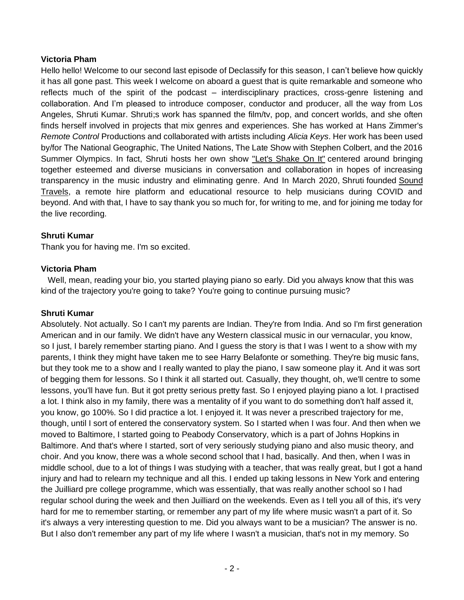#### **Victoria Pham**

Hello hello! Welcome to our second last episode of Declassify for this season, I can't believe how quickly it has all gone past. This week I welcome on aboard a guest that is quite remarkable and someone who reflects much of the spirit of the podcast – interdisciplinary practices, cross-genre listening and collaboration. And I'm pleased to introduce composer, conductor and producer, all the way from Los Angeles, Shruti Kumar. Shruti;s work has spanned the film/tv, pop, and concert worlds, and she often finds herself involved in projects that mix genres and experiences. She has worked at Hans Zimmer's *Remote Control* Productions and collaborated with artists including *Alicia Keys*. Her work has been used by/for The National Geographic, The United Nations, The Late Show with Stephen Colbert, and the 2016 Summer Olympics. In fact, Shruti hosts her own show ["Let's Shake On It"](https://www.dublab.com/shows/lets-shake-on-it) centered around bringing together esteemed and diverse musicians in conversation and collaboration in hopes of increasing transparency in the music industry and eliminating genre. And In March 2020, Shruti founded [Sound](https://soundcantravel.com/)  [Travels,](https://soundcantravel.com/) a remote hire platform and educational resource to help musicians during COVID and beyond. And with that, I have to say thank you so much for, for writing to me, and for joining me today for the live recording.

#### **Shruti Kumar**

Thank you for having me. I'm so excited.

#### **Victoria Pham**

 Well, mean, reading your bio, you started playing piano so early. Did you always know that this was kind of the trajectory you're going to take? You're going to continue pursuing music?

#### **Shruti Kumar**

Absolutely. Not actually. So I can't my parents are Indian. They're from India. And so I'm first generation American and in our family. We didn't have any Western classical music in our vernacular, you know, so I just, I barely remember starting piano. And I guess the story is that I was I went to a show with my parents, I think they might have taken me to see Harry Belafonte or something. They're big music fans, but they took me to a show and I really wanted to play the piano, I saw someone play it. And it was sort of begging them for lessons. So I think it all started out. Casually, they thought, oh, we'll centre to some lessons, you'll have fun. But it got pretty serious pretty fast. So I enjoyed playing piano a lot. I practised a lot. I think also in my family, there was a mentality of if you want to do something don't half assed it, you know, go 100%. So I did practice a lot. I enjoyed it. It was never a prescribed trajectory for me, though, until I sort of entered the conservatory system. So I started when I was four. And then when we moved to Baltimore, I started going to Peabody Conservatory, which is a part of Johns Hopkins in Baltimore. And that's where I started, sort of very seriously studying piano and also music theory, and choir. And you know, there was a whole second school that I had, basically. And then, when I was in middle school, due to a lot of things I was studying with a teacher, that was really great, but I got a hand injury and had to relearn my technique and all this. I ended up taking lessons in New York and entering the Juilliard pre college programme, which was essentially, that was really another school so I had regular school during the week and then Juilliard on the weekends. Even as I tell you all of this, it's very hard for me to remember starting, or remember any part of my life where music wasn't a part of it. So it's always a very interesting question to me. Did you always want to be a musician? The answer is no. But I also don't remember any part of my life where I wasn't a musician, that's not in my memory. So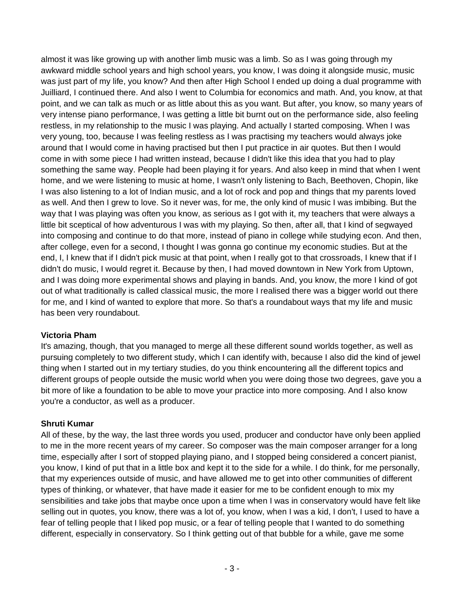almost it was like growing up with another limb music was a limb. So as I was going through my awkward middle school years and high school years, you know, I was doing it alongside music, music was just part of my life, you know? And then after High School I ended up doing a dual programme with Juilliard, I continued there. And also I went to Columbia for economics and math. And, you know, at that point, and we can talk as much or as little about this as you want. But after, you know, so many years of very intense piano performance, I was getting a little bit burnt out on the performance side, also feeling restless, in my relationship to the music I was playing. And actually I started composing. When I was very young, too, because I was feeling restless as I was practising my teachers would always joke around that I would come in having practised but then I put practice in air quotes. But then I would come in with some piece I had written instead, because I didn't like this idea that you had to play something the same way. People had been playing it for years. And also keep in mind that when I went home, and we were listening to music at home, I wasn't only listening to Bach, Beethoven, Chopin, like I was also listening to a lot of Indian music, and a lot of rock and pop and things that my parents loved as well. And then I grew to love. So it never was, for me, the only kind of music I was imbibing. But the way that I was playing was often you know, as serious as I got with it, my teachers that were always a little bit sceptical of how adventurous I was with my playing. So then, after all, that I kind of segwayed into composing and continue to do that more, instead of piano in college while studying econ. And then, after college, even for a second, I thought I was gonna go continue my economic studies. But at the end, I, I knew that if I didn't pick music at that point, when I really got to that crossroads, I knew that if I didn't do music, I would regret it. Because by then, I had moved downtown in New York from Uptown, and I was doing more experimental shows and playing in bands. And, you know, the more I kind of got out of what traditionally is called classical music, the more I realised there was a bigger world out there for me, and I kind of wanted to explore that more. So that's a roundabout ways that my life and music has been very roundabout.

## **Victoria Pham**

It's amazing, though, that you managed to merge all these different sound worlds together, as well as pursuing completely to two different study, which I can identify with, because I also did the kind of jewel thing when I started out in my tertiary studies, do you think encountering all the different topics and different groups of people outside the music world when you were doing those two degrees, gave you a bit more of like a foundation to be able to move your practice into more composing. And I also know you're a conductor, as well as a producer.

#### **Shruti Kumar**

All of these, by the way, the last three words you used, producer and conductor have only been applied to me in the more recent years of my career. So composer was the main composer arranger for a long time, especially after I sort of stopped playing piano, and I stopped being considered a concert pianist, you know, I kind of put that in a little box and kept it to the side for a while. I do think, for me personally, that my experiences outside of music, and have allowed me to get into other communities of different types of thinking, or whatever, that have made it easier for me to be confident enough to mix my sensibilities and take jobs that maybe once upon a time when I was in conservatory would have felt like selling out in quotes, you know, there was a lot of, you know, when I was a kid, I don't, I used to have a fear of telling people that I liked pop music, or a fear of telling people that I wanted to do something different, especially in conservatory. So I think getting out of that bubble for a while, gave me some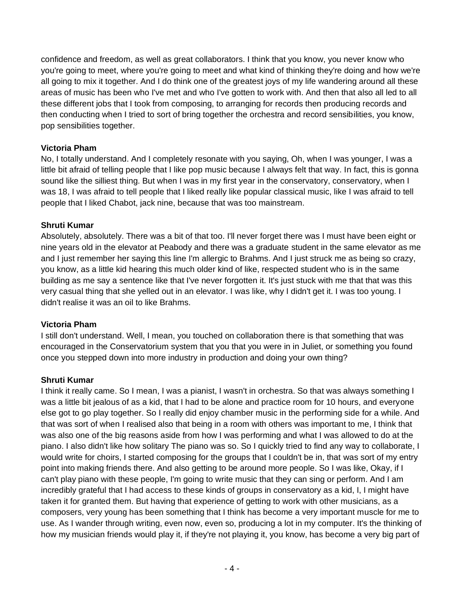confidence and freedom, as well as great collaborators. I think that you know, you never know who you're going to meet, where you're going to meet and what kind of thinking they're doing and how we're all going to mix it together. And I do think one of the greatest joys of my life wandering around all these areas of music has been who I've met and who I've gotten to work with. And then that also all led to all these different jobs that I took from composing, to arranging for records then producing records and then conducting when I tried to sort of bring together the orchestra and record sensibilities, you know, pop sensibilities together.

## **Victoria Pham**

No, I totally understand. And I completely resonate with you saying, Oh, when I was younger, I was a little bit afraid of telling people that I like pop music because I always felt that way. In fact, this is gonna sound like the silliest thing. But when I was in my first year in the conservatory, conservatory, when I was 18, I was afraid to tell people that I liked really like popular classical music, like I was afraid to tell people that I liked Chabot, jack nine, because that was too mainstream.

## **Shruti Kumar**

Absolutely, absolutely. There was a bit of that too. I'll never forget there was I must have been eight or nine years old in the elevator at Peabody and there was a graduate student in the same elevator as me and I just remember her saying this line I'm allergic to Brahms. And I just struck me as being so crazy, you know, as a little kid hearing this much older kind of like, respected student who is in the same building as me say a sentence like that I've never forgotten it. It's just stuck with me that that was this very casual thing that she yelled out in an elevator. I was like, why I didn't get it. I was too young. I didn't realise it was an oil to like Brahms.

#### **Victoria Pham**

I still don't understand. Well, I mean, you touched on collaboration there is that something that was encouraged in the Conservatorium system that you that you were in in Juliet, or something you found once you stepped down into more industry in production and doing your own thing?

#### **Shruti Kumar**

I think it really came. So I mean, I was a pianist, I wasn't in orchestra. So that was always something I was a little bit jealous of as a kid, that I had to be alone and practice room for 10 hours, and everyone else got to go play together. So I really did enjoy chamber music in the performing side for a while. And that was sort of when I realised also that being in a room with others was important to me, I think that was also one of the big reasons aside from how I was performing and what I was allowed to do at the piano. I also didn't like how solitary The piano was so. So I quickly tried to find any way to collaborate, I would write for choirs, I started composing for the groups that I couldn't be in, that was sort of my entry point into making friends there. And also getting to be around more people. So I was like, Okay, if I can't play piano with these people, I'm going to write music that they can sing or perform. And I am incredibly grateful that I had access to these kinds of groups in conservatory as a kid, I, I might have taken it for granted them. But having that experience of getting to work with other musicians, as a composers, very young has been something that I think has become a very important muscle for me to use. As I wander through writing, even now, even so, producing a lot in my computer. It's the thinking of how my musician friends would play it, if they're not playing it, you know, has become a very big part of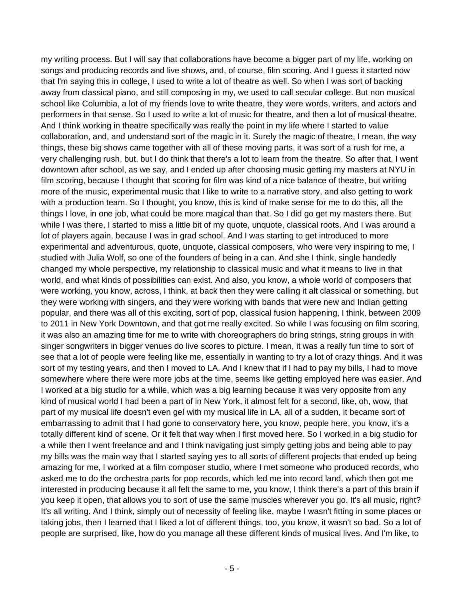my writing process. But I will say that collaborations have become a bigger part of my life, working on songs and producing records and live shows, and, of course, film scoring. And I guess it started now that I'm saying this in college, I used to write a lot of theatre as well. So when I was sort of backing away from classical piano, and still composing in my, we used to call secular college. But non musical school like Columbia, a lot of my friends love to write theatre, they were words, writers, and actors and performers in that sense. So I used to write a lot of music for theatre, and then a lot of musical theatre. And I think working in theatre specifically was really the point in my life where I started to value collaboration, and, and understand sort of the magic in it. Surely the magic of theatre, I mean, the way things, these big shows came together with all of these moving parts, it was sort of a rush for me, a very challenging rush, but, but I do think that there's a lot to learn from the theatre. So after that, I went downtown after school, as we say, and I ended up after choosing music getting my masters at NYU in film scoring, because I thought that scoring for film was kind of a nice balance of theatre, but writing more of the music, experimental music that I like to write to a narrative story, and also getting to work with a production team. So I thought, you know, this is kind of make sense for me to do this, all the things I love, in one job, what could be more magical than that. So I did go get my masters there. But while I was there, I started to miss a little bit of my quote, unquote, classical roots. And I was around a lot of players again, because I was in grad school. And I was starting to get introduced to more experimental and adventurous, quote, unquote, classical composers, who were very inspiring to me, I studied with Julia Wolf, so one of the founders of being in a can. And she I think, single handedly changed my whole perspective, my relationship to classical music and what it means to live in that world, and what kinds of possibilities can exist. And also, you know, a whole world of composers that were working, you know, across, I think, at back then they were calling it alt classical or something, but they were working with singers, and they were working with bands that were new and Indian getting popular, and there was all of this exciting, sort of pop, classical fusion happening, I think, between 2009 to 2011 in New York Downtown, and that got me really excited. So while I was focusing on film scoring, it was also an amazing time for me to write with choreographers do bring strings, string groups in with singer songwriters in bigger venues do live scores to picture. I mean, it was a really fun time to sort of see that a lot of people were feeling like me, essentially in wanting to try a lot of crazy things. And it was sort of my testing years, and then I moved to LA. And I knew that if I had to pay my bills, I had to move somewhere where there were more jobs at the time, seems like getting employed here was easier. And I worked at a big studio for a while, which was a big learning because it was very opposite from any kind of musical world I had been a part of in New York, it almost felt for a second, like, oh, wow, that part of my musical life doesn't even gel with my musical life in LA, all of a sudden, it became sort of embarrassing to admit that I had gone to conservatory here, you know, people here, you know, it's a totally different kind of scene. Or it felt that way when I first moved here. So I worked in a big studio for a while then I went freelance and and I think navigating just simply getting jobs and being able to pay my bills was the main way that I started saying yes to all sorts of different projects that ended up being amazing for me, I worked at a film composer studio, where I met someone who produced records, who asked me to do the orchestra parts for pop records, which led me into record land, which then got me interested in producing because it all felt the same to me, you know, I think there's a part of this brain if you keep it open, that allows you to sort of use the same muscles wherever you go. It's all music, right? It's all writing. And I think, simply out of necessity of feeling like, maybe I wasn't fitting in some places or taking jobs, then I learned that I liked a lot of different things, too, you know, it wasn't so bad. So a lot of people are surprised, like, how do you manage all these different kinds of musical lives. And I'm like, to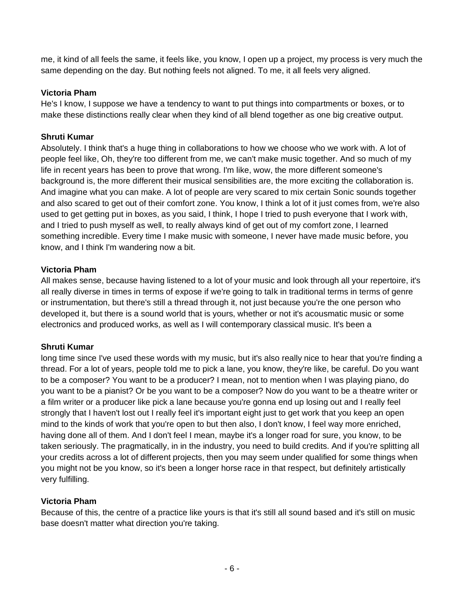me, it kind of all feels the same, it feels like, you know, I open up a project, my process is very much the same depending on the day. But nothing feels not aligned. To me, it all feels very aligned.

#### **Victoria Pham**

He's I know, I suppose we have a tendency to want to put things into compartments or boxes, or to make these distinctions really clear when they kind of all blend together as one big creative output.

## **Shruti Kumar**

Absolutely. I think that's a huge thing in collaborations to how we choose who we work with. A lot of people feel like, Oh, they're too different from me, we can't make music together. And so much of my life in recent years has been to prove that wrong. I'm like, wow, the more different someone's background is, the more different their musical sensibilities are, the more exciting the collaboration is. And imagine what you can make. A lot of people are very scared to mix certain Sonic sounds together and also scared to get out of their comfort zone. You know, I think a lot of it just comes from, we're also used to get getting put in boxes, as you said, I think, I hope I tried to push everyone that I work with, and I tried to push myself as well, to really always kind of get out of my comfort zone, I learned something incredible. Every time I make music with someone, I never have made music before, you know, and I think I'm wandering now a bit.

#### **Victoria Pham**

All makes sense, because having listened to a lot of your music and look through all your repertoire, it's all really diverse in times in terms of expose if we're going to talk in traditional terms in terms of genre or instrumentation, but there's still a thread through it, not just because you're the one person who developed it, but there is a sound world that is yours, whether or not it's acousmatic music or some electronics and produced works, as well as I will contemporary classical music. It's been a

#### **Shruti Kumar**

long time since I've used these words with my music, but it's also really nice to hear that you're finding a thread. For a lot of years, people told me to pick a lane, you know, they're like, be careful. Do you want to be a composer? You want to be a producer? I mean, not to mention when I was playing piano, do you want to be a pianist? Or be you want to be a composer? Now do you want to be a theatre writer or a film writer or a producer like pick a lane because you're gonna end up losing out and I really feel strongly that I haven't lost out I really feel it's important eight just to get work that you keep an open mind to the kinds of work that you're open to but then also, I don't know, I feel way more enriched, having done all of them. And I don't feel I mean, maybe it's a longer road for sure, you know, to be taken seriously. The pragmatically, in in the industry, you need to build credits. And if you're splitting all your credits across a lot of different projects, then you may seem under qualified for some things when you might not be you know, so it's been a longer horse race in that respect, but definitely artistically very fulfilling.

#### **Victoria Pham**

Because of this, the centre of a practice like yours is that it's still all sound based and it's still on music base doesn't matter what direction you're taking.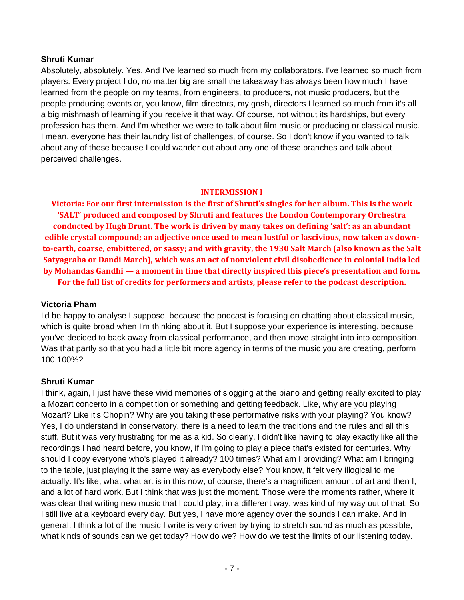#### **Shruti Kumar**

Absolutely, absolutely. Yes. And I've learned so much from my collaborators. I've learned so much from players. Every project I do, no matter big are small the takeaway has always been how much I have learned from the people on my teams, from engineers, to producers, not music producers, but the people producing events or, you know, film directors, my gosh, directors I learned so much from it's all a big mishmash of learning if you receive it that way. Of course, not without its hardships, but every profession has them. And I'm whether we were to talk about film music or producing or classical music. I mean, everyone has their laundry list of challenges, of course. So I don't know if you wanted to talk about any of those because I could wander out about any one of these branches and talk about perceived challenges.

#### **INTERMISSION I**

**Victoria: For our first intermission is the first of Shruti's singles for her album. This is the work 'SALT' produced and composed by Shruti and features the London Contemporary Orchestra conducted by Hugh Brunt. The work is driven by many takes on defining 'salt': as an abundant edible crystal compound; an adjective once used to mean lustful or lascivious, now taken as downto-earth, coarse, embittered, or sassy; and with gravity, the 1930 Salt March (also known as the Salt Satyagraha or Dandi March), which was an act of nonviolent civil disobedience in colonial India led by Mohandas Gandhi — a moment in time that directly inspired this piece's presentation and form. For the full list of credits for performers and artists, please refer to the podcast description.**

#### **Victoria Pham**

I'd be happy to analyse I suppose, because the podcast is focusing on chatting about classical music, which is quite broad when I'm thinking about it. But I suppose your experience is interesting, because you've decided to back away from classical performance, and then move straight into into composition. Was that partly so that you had a little bit more agency in terms of the music you are creating, perform 100 100%?

#### **Shruti Kumar**

I think, again, I just have these vivid memories of slogging at the piano and getting really excited to play a Mozart concerto in a competition or something and getting feedback. Like, why are you playing Mozart? Like it's Chopin? Why are you taking these performative risks with your playing? You know? Yes, I do understand in conservatory, there is a need to learn the traditions and the rules and all this stuff. But it was very frustrating for me as a kid. So clearly, I didn't like having to play exactly like all the recordings I had heard before, you know, if I'm going to play a piece that's existed for centuries. Why should I copy everyone who's played it already? 100 times? What am I providing? What am I bringing to the table, just playing it the same way as everybody else? You know, it felt very illogical to me actually. It's like, what what art is in this now, of course, there's a magnificent amount of art and then I, and a lot of hard work. But I think that was just the moment. Those were the moments rather, where it was clear that writing new music that I could play, in a different way, was kind of my way out of that. So I still live at a keyboard every day. But yes, I have more agency over the sounds I can make. And in general, I think a lot of the music I write is very driven by trying to stretch sound as much as possible, what kinds of sounds can we get today? How do we? How do we test the limits of our listening today.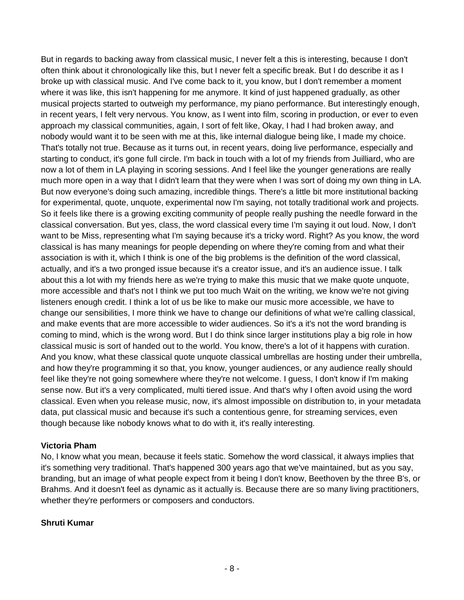But in regards to backing away from classical music, I never felt a this is interesting, because I don't often think about it chronologically like this, but I never felt a specific break. But I do describe it as I broke up with classical music. And I've come back to it, you know, but I don't remember a moment where it was like, this isn't happening for me anymore. It kind of just happened gradually, as other musical projects started to outweigh my performance, my piano performance. But interestingly enough, in recent years, I felt very nervous. You know, as I went into film, scoring in production, or ever to even approach my classical communities, again, I sort of felt like, Okay, I had I had broken away, and nobody would want it to be seen with me at this, like internal dialogue being like, I made my choice. That's totally not true. Because as it turns out, in recent years, doing live performance, especially and starting to conduct, it's gone full circle. I'm back in touch with a lot of my friends from Juilliard, who are now a lot of them in LA playing in scoring sessions. And I feel like the younger generations are really much more open in a way that I didn't learn that they were when I was sort of doing my own thing in LA. But now everyone's doing such amazing, incredible things. There's a little bit more institutional backing for experimental, quote, unquote, experimental now I'm saying, not totally traditional work and projects. So it feels like there is a growing exciting community of people really pushing the needle forward in the classical conversation. But yes, class, the word classical every time I'm saying it out loud. Now, I don't want to be Miss, representing what I'm saying because it's a tricky word. Right? As you know, the word classical is has many meanings for people depending on where they're coming from and what their association is with it, which I think is one of the big problems is the definition of the word classical, actually, and it's a two pronged issue because it's a creator issue, and it's an audience issue. I talk about this a lot with my friends here as we're trying to make this music that we make quote unquote, more accessible and that's not I think we put too much Wait on the writing, we know we're not giving listeners enough credit. I think a lot of us be like to make our music more accessible, we have to change our sensibilities, I more think we have to change our definitions of what we're calling classical, and make events that are more accessible to wider audiences. So it's a it's not the word branding is coming to mind, which is the wrong word. But I do think since larger institutions play a big role in how classical music is sort of handed out to the world. You know, there's a lot of it happens with curation. And you know, what these classical quote unquote classical umbrellas are hosting under their umbrella, and how they're programming it so that, you know, younger audiences, or any audience really should feel like they're not going somewhere where they're not welcome. I guess, I don't know if I'm making sense now. But it's a very complicated, multi tiered issue. And that's why I often avoid using the word classical. Even when you release music, now, it's almost impossible on distribution to, in your metadata data, put classical music and because it's such a contentious genre, for streaming services, even though because like nobody knows what to do with it, it's really interesting.

#### **Victoria Pham**

No, I know what you mean, because it feels static. Somehow the word classical, it always implies that it's something very traditional. That's happened 300 years ago that we've maintained, but as you say, branding, but an image of what people expect from it being I don't know, Beethoven by the three B's, or Brahms. And it doesn't feel as dynamic as it actually is. Because there are so many living practitioners, whether they're performers or composers and conductors.

## **Shruti Kumar**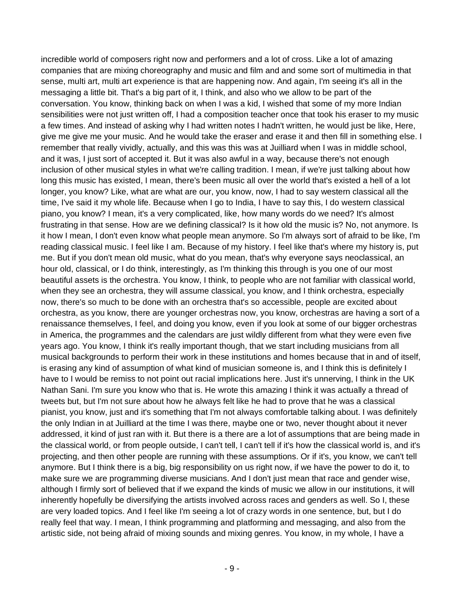incredible world of composers right now and performers and a lot of cross. Like a lot of amazing companies that are mixing choreography and music and film and and some sort of multimedia in that sense, multi art, multi art experience is that are happening now. And again, I'm seeing it's all in the messaging a little bit. That's a big part of it, I think, and also who we allow to be part of the conversation. You know, thinking back on when I was a kid, I wished that some of my more Indian sensibilities were not just written off, I had a composition teacher once that took his eraser to my music a few times. And instead of asking why I had written notes I hadn't written, he would just be like, Here, give me give me your music. And he would take the eraser and erase it and then fill in something else. I remember that really vividly, actually, and this was this was at Juilliard when I was in middle school, and it was, I just sort of accepted it. But it was also awful in a way, because there's not enough inclusion of other musical styles in what we're calling tradition. I mean, if we're just talking about how long this music has existed, I mean, there's been music all over the world that's existed a hell of a lot longer, you know? Like, what are what are our, you know, now, I had to say western classical all the time, I've said it my whole life. Because when I go to India, I have to say this, I do western classical piano, you know? I mean, it's a very complicated, like, how many words do we need? It's almost frustrating in that sense. How are we defining classical? Is it how old the music is? No, not anymore. Is it how I mean, I don't even know what people mean anymore. So I'm always sort of afraid to be like, I'm reading classical music. I feel like I am. Because of my history. I feel like that's where my history is, put me. But if you don't mean old music, what do you mean, that's why everyone says neoclassical, an hour old, classical, or I do think, interestingly, as I'm thinking this through is you one of our most beautiful assets is the orchestra. You know, I think, to people who are not familiar with classical world, when they see an orchestra, they will assume classical, you know, and I think orchestra, especially now, there's so much to be done with an orchestra that's so accessible, people are excited about orchestra, as you know, there are younger orchestras now, you know, orchestras are having a sort of a renaissance themselves, I feel, and doing you know, even if you look at some of our bigger orchestras in America, the programmes and the calendars are just wildly different from what they were even five years ago. You know, I think it's really important though, that we start including musicians from all musical backgrounds to perform their work in these institutions and homes because that in and of itself, is erasing any kind of assumption of what kind of musician someone is, and I think this is definitely I have to I would be remiss to not point out racial implications here. Just it's unnerving, I think in the UK Nathan Sani. I'm sure you know who that is. He wrote this amazing I think it was actually a thread of tweets but, but I'm not sure about how he always felt like he had to prove that he was a classical pianist, you know, just and it's something that I'm not always comfortable talking about. I was definitely the only Indian in at Juilliard at the time I was there, maybe one or two, never thought about it never addressed, it kind of just ran with it. But there is a there are a lot of assumptions that are being made in the classical world, or from people outside, I can't tell, I can't tell if it's how the classical world is, and it's projecting, and then other people are running with these assumptions. Or if it's, you know, we can't tell anymore. But I think there is a big, big responsibility on us right now, if we have the power to do it, to make sure we are programming diverse musicians. And I don't just mean that race and gender wise, although I firmly sort of believed that if we expand the kinds of music we allow in our institutions, it will inherently hopefully be diversifying the artists involved across races and genders as well. So I, these are very loaded topics. And I feel like I'm seeing a lot of crazy words in one sentence, but, but I do really feel that way. I mean, I think programming and platforming and messaging, and also from the artistic side, not being afraid of mixing sounds and mixing genres. You know, in my whole, I have a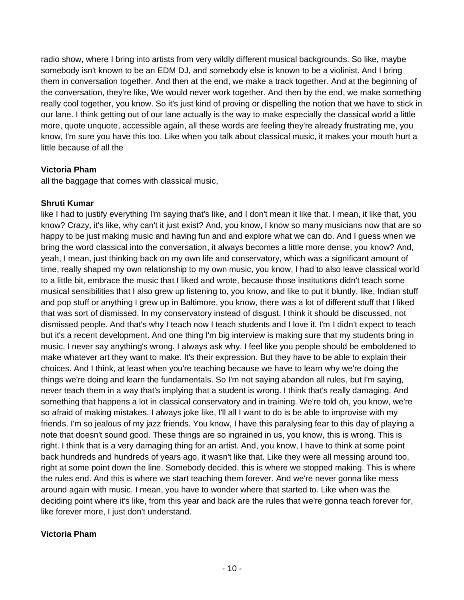radio show, where I bring into artists from very wildly different musical backgrounds. So like, maybe somebody isn't known to be an EDM DJ, and somebody else is known to be a violinist. And I bring them in conversation together. And then at the end, we make a track together. And at the beginning of the conversation, they're like, We would never work together. And then by the end, we make something really cool together, you know. So it's just kind of proving or dispelling the notion that we have to stick in our lane. I think getting out of our lane actually is the way to make especially the classical world a little more, quote unquote, accessible again, all these words are feeling they're already frustrating me, you know, I'm sure you have this too. Like when you talk about classical music, it makes your mouth hurt a little because of all the

## **Victoria Pham**

all the baggage that comes with classical music,

#### **Shruti Kumar**

like I had to justify everything I'm saying that's like, and I don't mean it like that. I mean, it like that, you know? Crazy, it's like, why can't it just exist? And, you know, I know so many musicians now that are so happy to be just making music and having fun and and explore what we can do. And I guess when we bring the word classical into the conversation, it always becomes a little more dense, you know? And, yeah, I mean, just thinking back on my own life and conservatory, which was a significant amount of time, really shaped my own relationship to my own music, you know, I had to also leave classical world to a little bit, embrace the music that I liked and wrote, because those institutions didn't teach some musical sensibilities that I also grew up listening to, you know, and like to put it bluntly, like, Indian stuff and pop stuff or anything I grew up in Baltimore, you know, there was a lot of different stuff that I liked that was sort of dismissed. In my conservatory instead of disgust. I think it should be discussed, not dismissed people. And that's why I teach now I teach students and I love it. I'm I didn't expect to teach but it's a recent development. And one thing I'm big interview is making sure that my students bring in music. I never say anything's wrong. I always ask why. I feel like you people should be emboldened to make whatever art they want to make. It's their expression. But they have to be able to explain their choices. And I think, at least when you're teaching because we have to learn why we're doing the things we're doing and learn the fundamentals. So I'm not saying abandon all rules, but I'm saying, never teach them in a way that's implying that a student is wrong. I think that's really damaging. And something that happens a lot in classical conservatory and in training. We're told oh, you know, we're so afraid of making mistakes. I always joke like, I'll all I want to do is be able to improvise with my friends. I'm so jealous of my jazz friends. You know, I have this paralysing fear to this day of playing a note that doesn't sound good. These things are so ingrained in us, you know, this is wrong. This is right. I think that is a very damaging thing for an artist. And, you know, I have to think at some point back hundreds and hundreds of years ago, it wasn't like that. Like they were all messing around too, right at some point down the line. Somebody decided, this is where we stopped making. This is where the rules end. And this is where we start teaching them forever. And we're never gonna like mess around again with music. I mean, you have to wonder where that started to. Like when was the deciding point where it's like, from this year and back are the rules that we're gonna teach forever for, like forever more, I just don't understand.

## **Victoria Pham**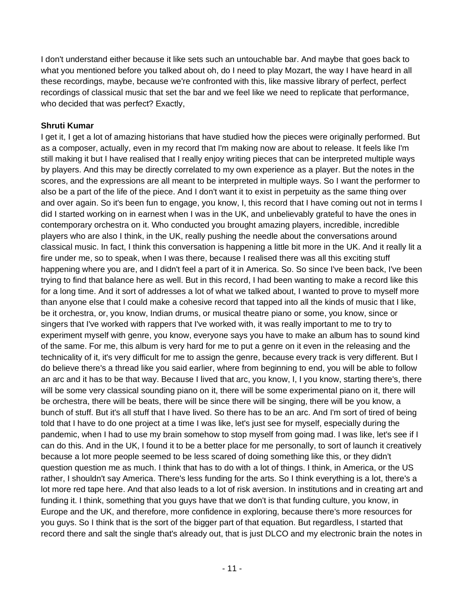I don't understand either because it like sets such an untouchable bar. And maybe that goes back to what you mentioned before you talked about oh, do I need to play Mozart, the way I have heard in all these recordings, maybe, because we're confronted with this, like massive library of perfect, perfect recordings of classical music that set the bar and we feel like we need to replicate that performance, who decided that was perfect? Exactly,

#### **Shruti Kumar**

I get it, I get a lot of amazing historians that have studied how the pieces were originally performed. But as a composer, actually, even in my record that I'm making now are about to release. It feels like I'm still making it but I have realised that I really enjoy writing pieces that can be interpreted multiple ways by players. And this may be directly correlated to my own experience as a player. But the notes in the scores, and the expressions are all meant to be interpreted in multiple ways. So I want the performer to also be a part of the life of the piece. And I don't want it to exist in perpetuity as the same thing over and over again. So it's been fun to engage, you know, I, this record that I have coming out not in terms I did I started working on in earnest when I was in the UK, and unbelievably grateful to have the ones in contemporary orchestra on it. Who conducted you brought amazing players, incredible, incredible players who are also I think, in the UK, really pushing the needle about the conversations around classical music. In fact, I think this conversation is happening a little bit more in the UK. And it really lit a fire under me, so to speak, when I was there, because I realised there was all this exciting stuff happening where you are, and I didn't feel a part of it in America. So. So since I've been back, I've been trying to find that balance here as well. But in this record, I had been wanting to make a record like this for a long time. And it sort of addresses a lot of what we talked about, I wanted to prove to myself more than anyone else that I could make a cohesive record that tapped into all the kinds of music that I like, be it orchestra, or, you know, Indian drums, or musical theatre piano or some, you know, since or singers that I've worked with rappers that I've worked with, it was really important to me to try to experiment myself with genre, you know, everyone says you have to make an album has to sound kind of the same. For me, this album is very hard for me to put a genre on it even in the releasing and the technicality of it, it's very difficult for me to assign the genre, because every track is very different. But I do believe there's a thread like you said earlier, where from beginning to end, you will be able to follow an arc and it has to be that way. Because I lived that arc, you know, I, I you know, starting there's, there will be some very classical sounding piano on it, there will be some experimental piano on it, there will be orchestra, there will be beats, there will be since there will be singing, there will be you know, a bunch of stuff. But it's all stuff that I have lived. So there has to be an arc. And I'm sort of tired of being told that I have to do one project at a time I was like, let's just see for myself, especially during the pandemic, when I had to use my brain somehow to stop myself from going mad. I was like, let's see if I can do this. And in the UK, I found it to be a better place for me personally, to sort of launch it creatively because a lot more people seemed to be less scared of doing something like this, or they didn't question question me as much. I think that has to do with a lot of things. I think, in America, or the US rather, I shouldn't say America. There's less funding for the arts. So I think everything is a lot, there's a lot more red tape here. And that also leads to a lot of risk aversion. In institutions and in creating art and funding it. I think, something that you guys have that we don't is that funding culture, you know, in Europe and the UK, and therefore, more confidence in exploring, because there's more resources for you guys. So I think that is the sort of the bigger part of that equation. But regardless, I started that record there and salt the single that's already out, that is just DLCO and my electronic brain the notes in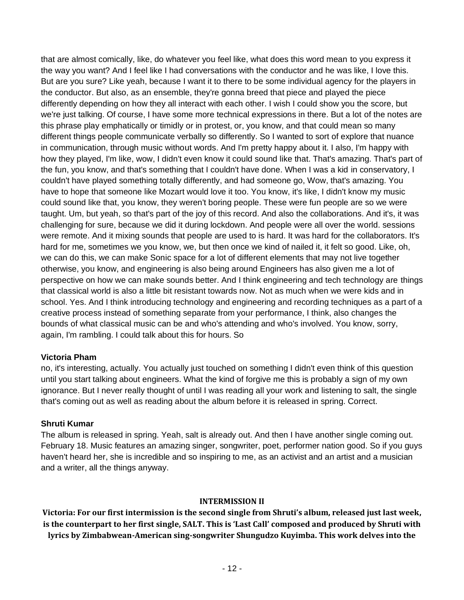that are almost comically, like, do whatever you feel like, what does this word mean to you express it the way you want? And I feel like I had conversations with the conductor and he was like, I love this. But are you sure? Like yeah, because I want it to there to be some individual agency for the players in the conductor. But also, as an ensemble, they're gonna breed that piece and played the piece differently depending on how they all interact with each other. I wish I could show you the score, but we're just talking. Of course, I have some more technical expressions in there. But a lot of the notes are this phrase play emphatically or timidly or in protest, or, you know, and that could mean so many different things people communicate verbally so differently. So I wanted to sort of explore that nuance in communication, through music without words. And I'm pretty happy about it. I also, I'm happy with how they played, I'm like, wow, I didn't even know it could sound like that. That's amazing. That's part of the fun, you know, and that's something that I couldn't have done. When I was a kid in conservatory, I couldn't have played something totally differently, and had someone go, Wow, that's amazing. You have to hope that someone like Mozart would love it too. You know, it's like, I didn't know my music could sound like that, you know, they weren't boring people. These were fun people are so we were taught. Um, but yeah, so that's part of the joy of this record. And also the collaborations. And it's, it was challenging for sure, because we did it during lockdown. And people were all over the world. sessions were remote. And it mixing sounds that people are used to is hard. It was hard for the collaborators. It's hard for me, sometimes we you know, we, but then once we kind of nailed it, it felt so good. Like, oh, we can do this, we can make Sonic space for a lot of different elements that may not live together otherwise, you know, and engineering is also being around Engineers has also given me a lot of perspective on how we can make sounds better. And I think engineering and tech technology are things that classical world is also a little bit resistant towards now. Not as much when we were kids and in school. Yes. And I think introducing technology and engineering and recording techniques as a part of a creative process instead of something separate from your performance, I think, also changes the bounds of what classical music can be and who's attending and who's involved. You know, sorry, again, I'm rambling. I could talk about this for hours. So

#### **Victoria Pham**

no, it's interesting, actually. You actually just touched on something I didn't even think of this question until you start talking about engineers. What the kind of forgive me this is probably a sign of my own ignorance. But I never really thought of until I was reading all your work and listening to salt, the single that's coming out as well as reading about the album before it is released in spring. Correct.

#### **Shruti Kumar**

The album is released in spring. Yeah, salt is already out. And then I have another single coming out. February 18. Music features an amazing singer, songwriter, poet, performer nation good. So if you guys haven't heard her, she is incredible and so inspiring to me, as an activist and an artist and a musician and a writer, all the things anyway.

#### **INTERMISSION II**

**Victoria: For our first intermission is the second single from Shruti's album, released just last week, is the counterpart to her first single, SALT. This is 'Last Call' composed and produced by Shruti with lyrics by Zimbabwean-American sing-songwriter Shungudzo Kuyimba. This work delves into the**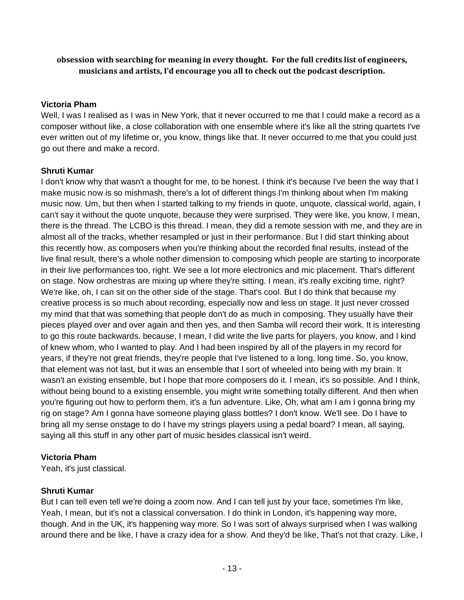## **obsession with searching for meaning in every thought. For the full credits list of engineers, musicians and artists, I'd encourage you all to check out the podcast description.**

## **Victoria Pham**

Well, I was I realised as I was in New York, that it never occurred to me that I could make a record as a composer without like, a close collaboration with one ensemble where it's like all the string quartets I've ever written out of my lifetime or, you know, things like that. It never occurred to me that you could just go out there and make a record.

## **Shruti Kumar**

I don't know why that wasn't a thought for me, to be honest. I think it's because I've been the way that I make music now is so mishmash, there's a lot of different things I'm thinking about when I'm making music now. Um, but then when I started talking to my friends in quote, unquote, classical world, again, I can't say it without the quote unquote, because they were surprised. They were like, you know, I mean, there is the thread. The LCBO is this thread. I mean, they did a remote session with me, and they are in almost all of the tracks, whether resampled or just in their performance. But I did start thinking about this recently how, as composers when you're thinking about the recorded final results, instead of the live final result, there's a whole nother dimension to composing which people are starting to incorporate in their live performances too, right. We see a lot more electronics and mic placement. That's different on stage. Now orchestras are mixing up where they're sitting. I mean, it's really exciting time, right? We're like, oh, I can sit on the other side of the stage. That's cool. But I do think that because my creative process is so much about recording, especially now and less on stage. It just never crossed my mind that that was something that people don't do as much in composing. They usually have their pieces played over and over again and then yes, and then Samba will record their work. It is interesting to go this route backwards. because, I mean, I did write the live parts for players, you know, and I kind of knew whom, who I wanted to play. And I had been inspired by all of the players in my record for years, if they're not great friends, they're people that I've listened to a long, long time. So, you know, that element was not last, but it was an ensemble that I sort of wheeled into being with my brain. It wasn't an existing ensemble, but I hope that more composers do it. I mean, it's so possible. And I think, without being bound to a existing ensemble, you might write something totally different. And then when you're figuring out how to perform them, it's a fun adventure. Like, Oh, what am I am I gonna bring my rig on stage? Am I gonna have someone playing glass bottles? I don't know. We'll see. Do I have to bring all my sense onstage to do I have my strings players using a pedal board? I mean, all saying, saying all this stuff in any other part of music besides classical isn't weird.

## **Victoria Pham**

Yeah, it's just classical.

# **Shruti Kumar**

But I can tell even tell we're doing a zoom now. And I can tell just by your face, sometimes I'm like, Yeah, I mean, but it's not a classical conversation. I do think in London, it's happening way more, though. And in the UK, it's happening way more. So I was sort of always surprised when I was walking around there and be like, I have a crazy idea for a show. And they'd be like, That's not that crazy. Like, I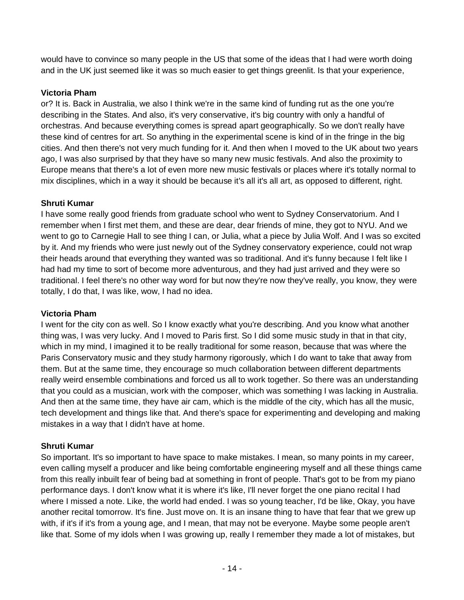would have to convince so many people in the US that some of the ideas that I had were worth doing and in the UK just seemed like it was so much easier to get things greenlit. Is that your experience,

## **Victoria Pham**

or? It is. Back in Australia, we also I think we're in the same kind of funding rut as the one you're describing in the States. And also, it's very conservative, it's big country with only a handful of orchestras. And because everything comes is spread apart geographically. So we don't really have these kind of centres for art. So anything in the experimental scene is kind of in the fringe in the big cities. And then there's not very much funding for it. And then when I moved to the UK about two years ago, I was also surprised by that they have so many new music festivals. And also the proximity to Europe means that there's a lot of even more new music festivals or places where it's totally normal to mix disciplines, which in a way it should be because it's all it's all art, as opposed to different, right.

## **Shruti Kumar**

I have some really good friends from graduate school who went to Sydney Conservatorium. And I remember when I first met them, and these are dear, dear friends of mine, they got to NYU. And we went to go to Carnegie Hall to see thing I can, or Julia, what a piece by Julia Wolf. And I was so excited by it. And my friends who were just newly out of the Sydney conservatory experience, could not wrap their heads around that everything they wanted was so traditional. And it's funny because I felt like I had had my time to sort of become more adventurous, and they had just arrived and they were so traditional. I feel there's no other way word for but now they're now they've really, you know, they were totally, I do that, I was like, wow, I had no idea.

## **Victoria Pham**

I went for the city con as well. So I know exactly what you're describing. And you know what another thing was, I was very lucky. And I moved to Paris first. So I did some music study in that in that city, which in my mind, I imagined it to be really traditional for some reason, because that was where the Paris Conservatory music and they study harmony rigorously, which I do want to take that away from them. But at the same time, they encourage so much collaboration between different departments really weird ensemble combinations and forced us all to work together. So there was an understanding that you could as a musician, work with the composer, which was something I was lacking in Australia. And then at the same time, they have air cam, which is the middle of the city, which has all the music, tech development and things like that. And there's space for experimenting and developing and making mistakes in a way that I didn't have at home.

# **Shruti Kumar**

So important. It's so important to have space to make mistakes. I mean, so many points in my career, even calling myself a producer and like being comfortable engineering myself and all these things came from this really inbuilt fear of being bad at something in front of people. That's got to be from my piano performance days. I don't know what it is where it's like, I'll never forget the one piano recital I had where I missed a note. Like, the world had ended. I was so young teacher, I'd be like, Okay, you have another recital tomorrow. It's fine. Just move on. It is an insane thing to have that fear that we grew up with, if it's if it's from a young age, and I mean, that may not be everyone. Maybe some people aren't like that. Some of my idols when I was growing up, really I remember they made a lot of mistakes, but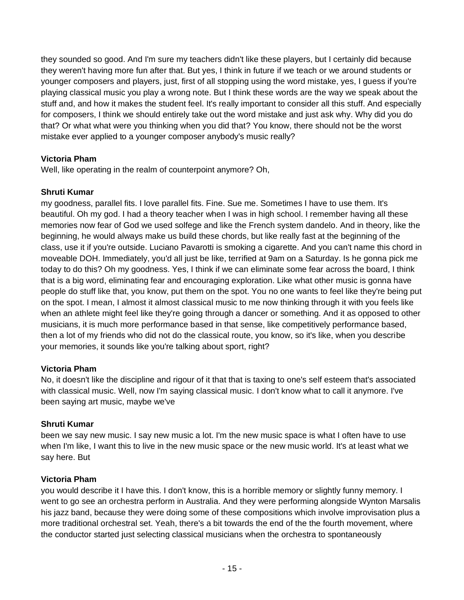they sounded so good. And I'm sure my teachers didn't like these players, but I certainly did because they weren't having more fun after that. But yes, I think in future if we teach or we around students or younger composers and players, just, first of all stopping using the word mistake, yes, I guess if you're playing classical music you play a wrong note. But I think these words are the way we speak about the stuff and, and how it makes the student feel. It's really important to consider all this stuff. And especially for composers, I think we should entirely take out the word mistake and just ask why. Why did you do that? Or what what were you thinking when you did that? You know, there should not be the worst mistake ever applied to a younger composer anybody's music really?

## **Victoria Pham**

Well, like operating in the realm of counterpoint anymore? Oh,

## **Shruti Kumar**

my goodness, parallel fits. I love parallel fits. Fine. Sue me. Sometimes I have to use them. It's beautiful. Oh my god. I had a theory teacher when I was in high school. I remember having all these memories now fear of God we used solfege and like the French system dandelo. And in theory, like the beginning, he would always make us build these chords, but like really fast at the beginning of the class, use it if you're outside. Luciano Pavarotti is smoking a cigarette. And you can't name this chord in moveable DOH. Immediately, you'd all just be like, terrified at 9am on a Saturday. Is he gonna pick me today to do this? Oh my goodness. Yes, I think if we can eliminate some fear across the board, I think that is a big word, eliminating fear and encouraging exploration. Like what other music is gonna have people do stuff like that, you know, put them on the spot. You no one wants to feel like they're being put on the spot. I mean, I almost it almost classical music to me now thinking through it with you feels like when an athlete might feel like they're going through a dancer or something. And it as opposed to other musicians, it is much more performance based in that sense, like competitively performance based, then a lot of my friends who did not do the classical route, you know, so it's like, when you describe your memories, it sounds like you're talking about sport, right?

# **Victoria Pham**

No, it doesn't like the discipline and rigour of it that that is taxing to one's self esteem that's associated with classical music. Well, now I'm saying classical music. I don't know what to call it anymore. I've been saying art music, maybe we've

## **Shruti Kumar**

been we say new music. I say new music a lot. I'm the new music space is what I often have to use when I'm like, I want this to live in the new music space or the new music world. It's at least what we say here. But

## **Victoria Pham**

you would describe it I have this. I don't know, this is a horrible memory or slightly funny memory. I went to go see an orchestra perform in Australia. And they were performing alongside Wynton Marsalis his jazz band, because they were doing some of these compositions which involve improvisation plus a more traditional orchestral set. Yeah, there's a bit towards the end of the the fourth movement, where the conductor started just selecting classical musicians when the orchestra to spontaneously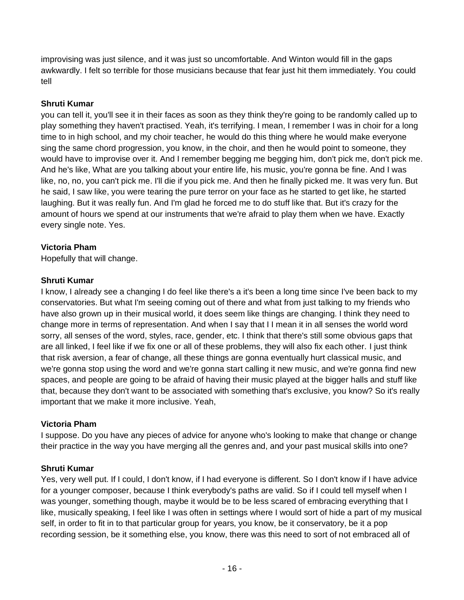improvising was just silence, and it was just so uncomfortable. And Winton would fill in the gaps awkwardly. I felt so terrible for those musicians because that fear just hit them immediately. You could tell

#### **Shruti Kumar**

you can tell it, you'll see it in their faces as soon as they think they're going to be randomly called up to play something they haven't practised. Yeah, it's terrifying. I mean, I remember I was in choir for a long time to in high school, and my choir teacher, he would do this thing where he would make everyone sing the same chord progression, you know, in the choir, and then he would point to someone, they would have to improvise over it. And I remember begging me begging him, don't pick me, don't pick me. And he's like, What are you talking about your entire life, his music, you're gonna be fine. And I was like, no, no, you can't pick me. I'll die if you pick me. And then he finally picked me. It was very fun. But he said, I saw like, you were tearing the pure terror on your face as he started to get like, he started laughing. But it was really fun. And I'm glad he forced me to do stuff like that. But it's crazy for the amount of hours we spend at our instruments that we're afraid to play them when we have. Exactly every single note. Yes.

## **Victoria Pham**

Hopefully that will change.

## **Shruti Kumar**

I know, I already see a changing I do feel like there's a it's been a long time since I've been back to my conservatories. But what I'm seeing coming out of there and what from just talking to my friends who have also grown up in their musical world, it does seem like things are changing. I think they need to change more in terms of representation. And when I say that I I mean it in all senses the world word sorry, all senses of the word, styles, race, gender, etc. I think that there's still some obvious gaps that are all linked, I feel like if we fix one or all of these problems, they will also fix each other. I just think that risk aversion, a fear of change, all these things are gonna eventually hurt classical music, and we're gonna stop using the word and we're gonna start calling it new music, and we're gonna find new spaces, and people are going to be afraid of having their music played at the bigger halls and stuff like that, because they don't want to be associated with something that's exclusive, you know? So it's really important that we make it more inclusive. Yeah,

## **Victoria Pham**

I suppose. Do you have any pieces of advice for anyone who's looking to make that change or change their practice in the way you have merging all the genres and, and your past musical skills into one?

## **Shruti Kumar**

Yes, very well put. If I could, I don't know, if I had everyone is different. So I don't know if I have advice for a younger composer, because I think everybody's paths are valid. So if I could tell myself when I was younger, something though, maybe it would be to be less scared of embracing everything that I like, musically speaking, I feel like I was often in settings where I would sort of hide a part of my musical self, in order to fit in to that particular group for years, you know, be it conservatory, be it a pop recording session, be it something else, you know, there was this need to sort of not embraced all of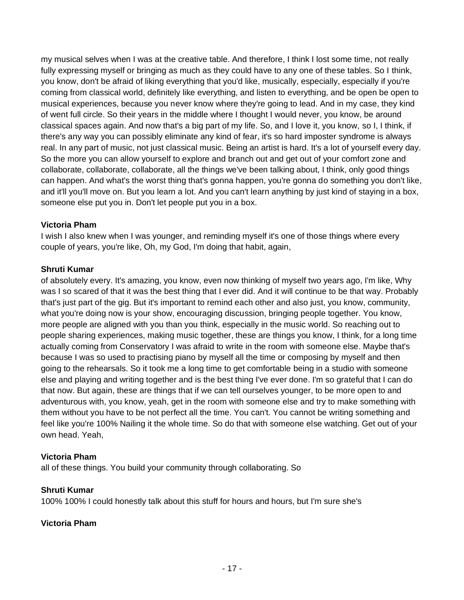my musical selves when I was at the creative table. And therefore, I think I lost some time, not really fully expressing myself or bringing as much as they could have to any one of these tables. So I think, you know, don't be afraid of liking everything that you'd like, musically, especially, especially if you're coming from classical world, definitely like everything, and listen to everything, and be open be open to musical experiences, because you never know where they're going to lead. And in my case, they kind of went full circle. So their years in the middle where I thought I would never, you know, be around classical spaces again. And now that's a big part of my life. So, and I love it, you know, so I, I think, if there's any way you can possibly eliminate any kind of fear, it's so hard imposter syndrome is always real. In any part of music, not just classical music. Being an artist is hard. It's a lot of yourself every day. So the more you can allow yourself to explore and branch out and get out of your comfort zone and collaborate, collaborate, collaborate, all the things we've been talking about, I think, only good things can happen. And what's the worst thing that's gonna happen, you're gonna do something you don't like, and it'll you'll move on. But you learn a lot. And you can't learn anything by just kind of staying in a box, someone else put you in. Don't let people put you in a box.

## **Victoria Pham**

I wish I also knew when I was younger, and reminding myself it's one of those things where every couple of years, you're like, Oh, my God, I'm doing that habit, again,

#### **Shruti Kumar**

of absolutely every. It's amazing, you know, even now thinking of myself two years ago, I'm like, Why was I so scared of that it was the best thing that I ever did. And it will continue to be that way. Probably that's just part of the gig. But it's important to remind each other and also just, you know, community, what you're doing now is your show, encouraging discussion, bringing people together. You know, more people are aligned with you than you think, especially in the music world. So reaching out to people sharing experiences, making music together, these are things you know, I think, for a long time actually coming from Conservatory I was afraid to write in the room with someone else. Maybe that's because I was so used to practising piano by myself all the time or composing by myself and then going to the rehearsals. So it took me a long time to get comfortable being in a studio with someone else and playing and writing together and is the best thing I've ever done. I'm so grateful that I can do that now. But again, these are things that if we can tell ourselves younger, to be more open to and adventurous with, you know, yeah, get in the room with someone else and try to make something with them without you have to be not perfect all the time. You can't. You cannot be writing something and feel like you're 100% Nailing it the whole time. So do that with someone else watching. Get out of your own head. Yeah,

## **Victoria Pham**

all of these things. You build your community through collaborating. So

## **Shruti Kumar**

100% 100% I could honestly talk about this stuff for hours and hours, but I'm sure she's

## **Victoria Pham**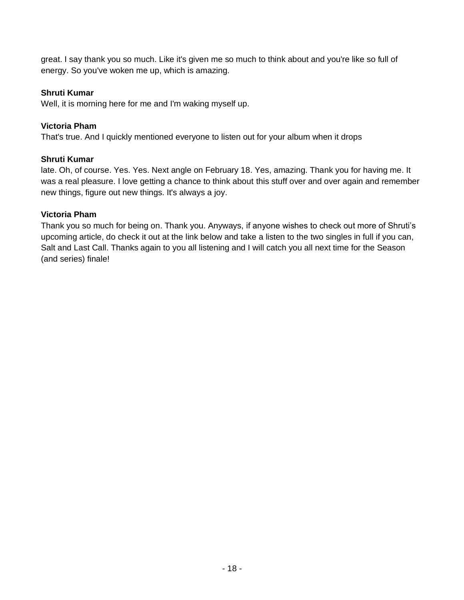great. I say thank you so much. Like it's given me so much to think about and you're like so full of energy. So you've woken me up, which is amazing.

## **Shruti Kumar**

Well, it is morning here for me and I'm waking myself up.

## **Victoria Pham**

That's true. And I quickly mentioned everyone to listen out for your album when it drops

# **Shruti Kumar**

late. Oh, of course. Yes. Yes. Next angle on February 18. Yes, amazing. Thank you for having me. It was a real pleasure. I love getting a chance to think about this stuff over and over again and remember new things, figure out new things. It's always a joy.

## **Victoria Pham**

Thank you so much for being on. Thank you. Anyways, if anyone wishes to check out more of Shruti's upcoming article, do check it out at the link below and take a listen to the two singles in full if you can, Salt and Last Call. Thanks again to you all listening and I will catch you all next time for the Season (and series) finale!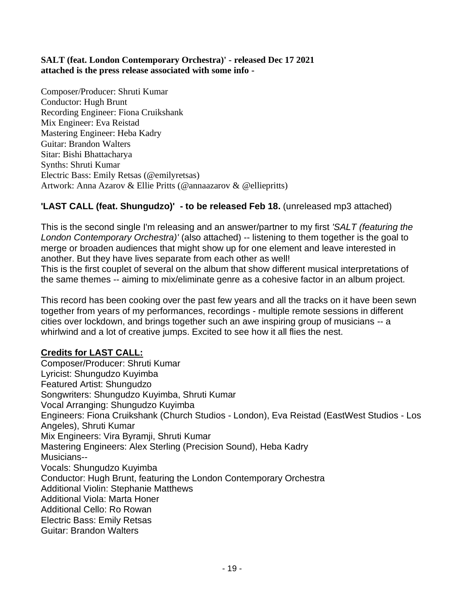## **SALT (feat. London Contemporary Orchestra)' - released Dec 17 2021 attached is the press release associated with some info -**

Composer/Producer: Shruti Kumar Conductor: Hugh Brunt Recording Engineer: Fiona Cruikshank Mix Engineer: Eva Reistad Mastering Engineer: Heba Kadry Guitar: Brandon Walters Sitar: Bishi Bhattacharya Synths: Shruti Kumar Electric Bass: Emily Retsas (@emilyretsas) Artwork: Anna Azarov & Ellie Pritts (@annaazarov & @elliepritts)

# **'LAST CALL (feat. Shungudzo)' - to be released Feb 18.** (unreleased mp3 attached)

This is the second single I'm releasing and an answer/partner to my first *'SALT (featuring the London Contemporary Orchestra)'* (also attached) -- listening to them together is the goal to merge or broaden audiences that might show up for one element and leave interested in another. But they have lives separate from each other as well!

This is the first couplet of several on the album that show different musical interpretations of the same themes -- aiming to mix/eliminate genre as a cohesive factor in an album project.

This record has been cooking over the past few years and all the tracks on it have been sewn together from years of my performances, recordings - multiple remote sessions in different cities over lockdown, and brings together such an awe inspiring group of musicians -- a whirlwind and a lot of creative jumps. Excited to see how it all flies the nest.

# **Credits for LAST CALL:**

Composer/Producer: Shruti Kumar Lyricist: Shungudzo Kuyimba Featured Artist: Shungudzo Songwriters: Shungudzo Kuyimba, Shruti Kumar Vocal Arranging: Shungudzo Kuyimba Engineers: Fiona Cruikshank (Church Studios - London), Eva Reistad (EastWest Studios - Los Angeles), Shruti Kumar Mix Engineers: Vira Byramji, Shruti Kumar Mastering Engineers: Alex Sterling (Precision Sound), Heba Kadry Musicians-- Vocals: Shungudzo Kuyimba Conductor: Hugh Brunt, featuring the London Contemporary Orchestra Additional Violin: Stephanie Matthews Additional Viola: Marta Honer Additional Cello: Ro Rowan Electric Bass: Emily Retsas Guitar: Brandon Walters